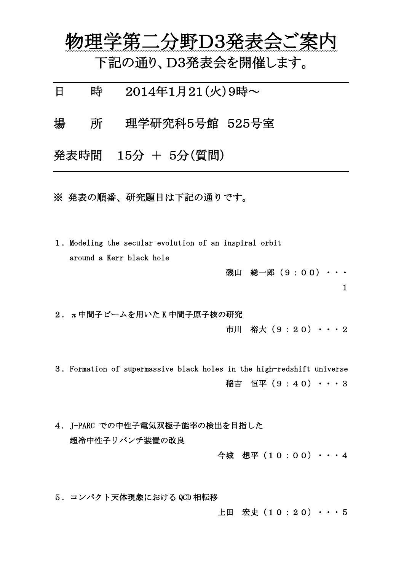物理学第二分野D3発表会ご案内

下記の通り、D3発表会を開催します。

日 時 2014年1月21(火)9時~

場 所 理学研究科5号館 525号室

発表時間 15分 + 5分(質問)

 $\overline{a}$ 

 $\overline{a}$ 

※ 発表の順番、研究題目は下記の通りです。

1.Modeling the secular evolution of an inspiral orbit around a Kerr black hole

> 磯山 総一郎(9:00)・・・ 1

2. π中間子ビームを用いた K 中間子原子核の研究

市川 裕大(9:20)・・・2

3.Formation of supermassive black holes in the high-redshift universe 稲吉 恒平(9:40)・・・3

4. J-PARC での中性子電気双極子能率の検出を目指した 超冷中性子リバンチ装置の改良

今城 想平(10:00)・・・4

5.コンパクト天体現象における QCD 相転移

上田 宏史(10:20)・・・5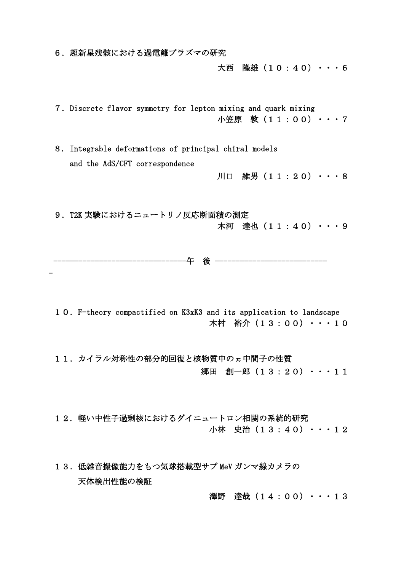6. 超新星残骸における過電離プラズマの研究

-

大西 隆雄(10:40)・・・6

7.Discrete flavor symmetry for lepton mixing and quark mixing 小笠原 敦(11:00)・・・7

8. Integrable deformations of principal chiral models and the AdS/CFT correspondence

川口 維男 (11:20) ・・・8

9.T2K 実験におけるニュートリノ反応断面積の測定 木河 達也 (11:40) ・・・9

--午 後 -------------------

10.F-theory compactified on K3xK3 and its application to landscape 木村 裕介(13:00)・・・10

11. カイラル対称性の部分的回復と核物質中のπ中間子の性質 郷田 創一郎 (13:20) ・・・11

12. 軽い中性子過剰核におけるダイニュートロン相関の系統的研究 小林 史治(13:40)・・・12

13.低雑音撮像能力をもつ気球搭載型サブ MeV ガンマ線カメラの 天体検出性能の検証

澤野 達哉(14:00)・・・13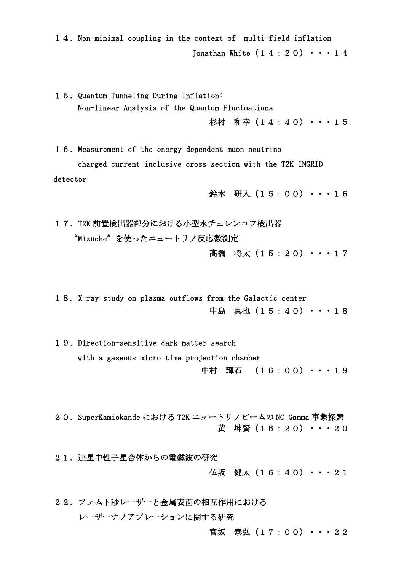14.Non-minimal coupling in the context of multi-field inflation Jonathan White  $(14:20) \cdot \cdot \cdot 14$ 

15. Quantum Tunneling During Inflation: Non-linear Analysis of the Quantum Fluctuations 杉村 和幸(14:40)・・・15

16.Measurement of the energy dependent muon neutrino charged current inclusive cross section with the T2K INGRID detector

鈴木 研人(15:00)・・・16

17. T2K 前置検出器部分における小型水チェレンコフ検出器 "Mizuche"を使ったニュートリノ反応数測定

高橋 将太 (15:20) ・・・17

18. X-ray study on plasma outflows from the Galactic center 中島 真也(15:40)・・・18

19. Direction-sensitive dark matter search with a gaseous micro time projection chamber 中村 輝石 (16:00)・・・19

20.SuperKamiokande における T2K ニュートリノビームの NC Gamma 事象探索 黄 坤賢(16:20) ・・・20

21. 連星中性子星合体からの電磁波の研究

仏坂 健太 (16:40) ・・・21

22.フェムト秒レーザーと金属表面の相互作用における レーザーナノアブレーションに関する研究

宮坂 泰弘 (17:00) ・・・22